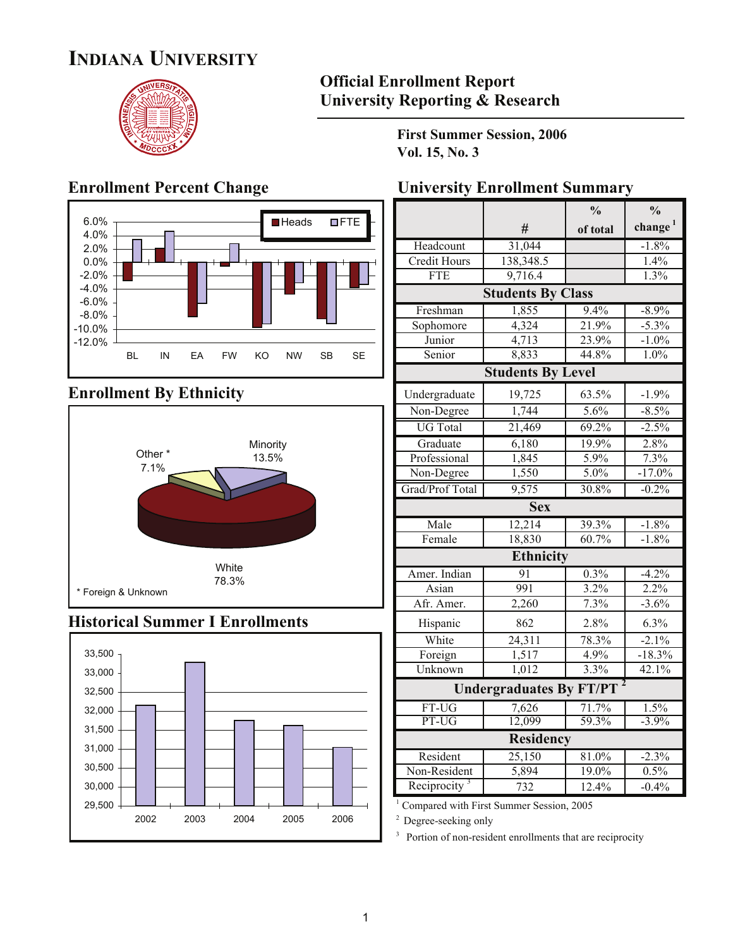## **INDIANA UNIVERSITY**



#### **Official Enrollment Report University Reporting & Research**

**First Summer Session, 2006 Vol. 15, No. 3**



### **Enrollment By Ethnicity**



#### **Historical Summer I Enrollments**



#### **Enrollment Percent Change Visity Enrollment Summary**

|                                |                          | $\frac{0}{0}$ | $\frac{0}{0}$       |  |  |  |  |  |
|--------------------------------|--------------------------|---------------|---------------------|--|--|--|--|--|
|                                | #                        | of total      | change <sup>1</sup> |  |  |  |  |  |
| Headcount                      | 31,044                   |               | $-1.8%$             |  |  |  |  |  |
| <b>Credit Hours</b>            | 138,348.5                |               | 1.4%                |  |  |  |  |  |
| FTE                            | 9,716.4                  |               | 1.3%                |  |  |  |  |  |
|                                | <b>Students By Class</b> |               |                     |  |  |  |  |  |
| Freshman                       | 1,855                    | 9.4%          | $-8.9%$             |  |  |  |  |  |
| Sophomore                      | 4,324                    | 21.9%         | $-5.3%$             |  |  |  |  |  |
| Junior                         | 4,713                    | 23.9%         | $-1.0%$             |  |  |  |  |  |
| Senior                         | 8,833                    | 44.8%         | 1.0%                |  |  |  |  |  |
|                                | <b>Students By Level</b> |               |                     |  |  |  |  |  |
| Undergraduate                  | 19,725                   | 63.5%         | $-1.9%$             |  |  |  |  |  |
| Non-Degree                     | 1,744                    | 5.6%          | $-8.5%$             |  |  |  |  |  |
| <b>UG</b> Total                | 21,469                   | 69.2%         | $-2.5%$             |  |  |  |  |  |
| Graduate                       | 6,180                    | 19.9%         | 2.8%                |  |  |  |  |  |
| Professional                   | 1,845                    | 5.9%          | 7.3%                |  |  |  |  |  |
| Non-Degree                     | 1,550                    | 5.0%          | $-17.0%$            |  |  |  |  |  |
| Grad/Prof Total                | 9,575                    | 30.8%         | $-0.2%$             |  |  |  |  |  |
|                                | <b>Sex</b>               |               |                     |  |  |  |  |  |
| Male                           | 12,214                   | 39.3%         | $-1.8%$             |  |  |  |  |  |
| Female                         | 18,830                   | 60.7%         | $-1.8%$             |  |  |  |  |  |
|                                | Ethnicity                |               |                     |  |  |  |  |  |
| Amer. Indian                   | 91                       | 0.3%          | $-4.2%$             |  |  |  |  |  |
| Asian                          | 991                      | 3.2%          | 2.2%                |  |  |  |  |  |
| Afr. Amer.                     | 2,260                    | 7.3%          | $-3.6%$             |  |  |  |  |  |
| Hispanic                       | 862                      | 2.8%          | 6.3%                |  |  |  |  |  |
| White                          | 24,311                   | 78.3%         | $-2.1%$             |  |  |  |  |  |
| Foreign                        | 1,517                    | 4.9%          | $-18.3%$            |  |  |  |  |  |
| Unknown                        | 1,012                    | 3.3%          | 42.1%               |  |  |  |  |  |
| <b>Undergraduates By FT/PT</b> |                          |               |                     |  |  |  |  |  |
| FT-UG                          | 7,626                    | 71.7%         | 1.5%                |  |  |  |  |  |
| PT-UG                          | 12,099                   | 59.3%         | $-3.9%$             |  |  |  |  |  |
|                                | Residency                |               |                     |  |  |  |  |  |
| Resident                       | 25,150                   | 81.0%         | $-2.3%$             |  |  |  |  |  |
| Non-Resident                   | $\overline{5,894}$       | 19.0%         | 0.5%                |  |  |  |  |  |
| Reciprocity <sup>3</sup>       | 732                      | 12.4%         | $-0.4%$             |  |  |  |  |  |

<sup>1</sup> Compared with First Summer Session, 2005

<sup>2</sup> Degree-seeking only

<sup>3</sup> Portion of non-resident enrollments that are reciprocity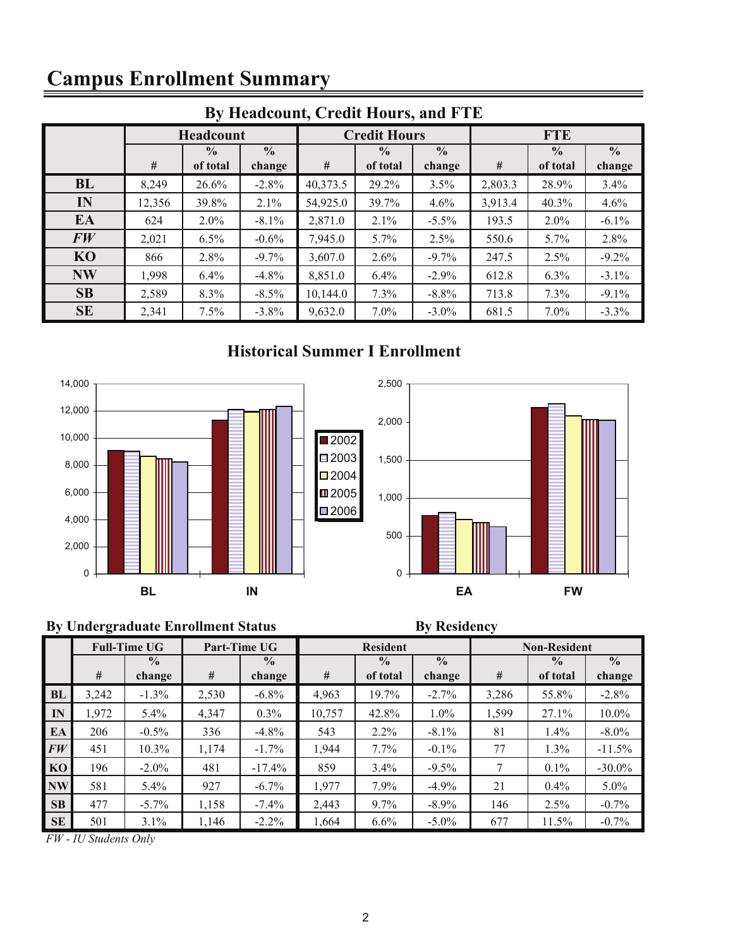# **Campus Enrollment Summary**

|                | By Headcount, Credit Hours, and FTE |                  |               |          |                                |          |            |               |               |  |  |  |  |  |
|----------------|-------------------------------------|------------------|---------------|----------|--------------------------------|----------|------------|---------------|---------------|--|--|--|--|--|
|                |                                     | <b>Headcount</b> |               |          | <b>Credit Hours</b>            |          | <b>FTE</b> |               |               |  |  |  |  |  |
|                |                                     | $\frac{0}{0}$    | $\frac{0}{0}$ |          | $\frac{6}{6}$<br>$\frac{0}{0}$ |          |            | $\frac{0}{0}$ | $\frac{0}{0}$ |  |  |  |  |  |
|                | #                                   | of total         | change        | #        | of total                       | change   | #          | of total      | change        |  |  |  |  |  |
| <b>BL</b>      | 8,249                               | 26.6%            | $-2.8%$       | 40,373.5 | 29.2%                          | 3.5%     | 2,803.3    | 28.9%         | 3.4%          |  |  |  |  |  |
| IN             | 12,356                              | 39.8%            | 2.1%          | 54,925.0 | 39.7%                          | 4.6%     | 3,913.4    | 40.3%         | 4.6%          |  |  |  |  |  |
| EA             | 624                                 | $2.0\%$          | $-8.1%$       | 2,871.0  | 2.1%                           | $-5.5\%$ | 193.5      | 2.0%          | $-6.1%$       |  |  |  |  |  |
| FW             | 2,021                               | 6.5%             | $-0.6\%$      | 7,945.0  | $5.7\%$                        | 2.5%     | 550.6      | $5.7\%$       | 2.8%          |  |  |  |  |  |
| K <sub>O</sub> | 866                                 | 2.8%             | $-9.7\%$      | 3,607.0  | $2.6\%$                        | $-9.7\%$ | 247.5      | 2.5%          | $-9.2%$       |  |  |  |  |  |
| <b>NW</b>      | 1,998                               | 6.4%             | $-4.8%$       | 8,851.0  | 6.4%                           | $-2.9\%$ | 612.8      | 6.3%          | $-3.1\%$      |  |  |  |  |  |
| SB             | 2,589                               | 8.3%             | $-8.5%$       | 10,144.0 | 7.3%                           | $-8.8%$  | 713.8      | 7.3%          | $-9.1\%$      |  |  |  |  |  |
| <b>SE</b>      | 2,341                               | 7.5%             | $-3.8%$       | 9,632.0  | 7.0%                           | $-3.0\%$ | 681.5      | $7.0\%$       | $-3.3\%$      |  |  |  |  |  |

### **Historical Summer I Enrollment**





### **By Undergraduate Enrollment Status By Residency**

|           |       | <b>Full-Time UG</b> |       | Part-Time UG  |        | <b>Resident</b> |               | <b>Non-Resident</b> |                          |               |  |
|-----------|-------|---------------------|-------|---------------|--------|-----------------|---------------|---------------------|--------------------------|---------------|--|
|           |       | $\frac{0}{0}$       |       | $\frac{0}{0}$ |        | $\frac{0}{0}$   | $\frac{0}{0}$ |                     | $\overline{\frac{0}{0}}$ | $\frac{0}{0}$ |  |
|           | #     | change              | #     | change        | #      | of total        | change        | #                   | of total                 | change        |  |
| BL        | 3,242 | $-1.3\%$            | 2,530 | $-6.8\%$      | 4,963  | 19.7%           | $-2.7\%$      | 3,286               | 55.8%                    | $-2.8%$       |  |
| IN        | 1,972 | $5.4\%$             | 4,347 | $0.3\%$       | 10,757 | 42.8%           | $1.0\%$       | 1,599               | 27.1%                    | $10.0\%$      |  |
| EA        | 206   | $-0.5\%$            | 336   | $-4.8\%$      | 543    | 2.2%            | $-8.1\%$      | 81                  | $1.4\%$                  | $-8.0\%$      |  |
| FW        | 451   | $10.3\%$            | 1,174 | $-1.7\%$      | 1,944  | $7.7\%$         | $-0.1\%$      | 77                  | 1.3%                     | $-11.5%$      |  |
| KO        | 196   | $-2.0\%$            | 481   | $-17.4%$      | 859    | 3.4%            | $-9.5%$       | 7                   | 0.1%                     | $-30.0\%$     |  |
| <b>NW</b> | 581   | $5.4\%$             | 927   | $-6.7\%$      | 1,977  | 7.9%            | $-4.9%$       | 21                  | $0.4\%$                  | $5.0\%$       |  |
| SB        | 477   | $-5.7\%$            | 1,158 | $-7.4\%$      | 2,443  | 9.7%            | $-8.9\%$      | 146                 | 2.5%                     | $-0.7%$       |  |
| <b>SE</b> | 501   | $3.1\%$             | 1,146 | $-2.2\%$      | 1,664  | $6.6\%$         | $-5.0\%$      | 677                 | 11.5%                    | $-0.7\%$      |  |

*FW - IU Students Only*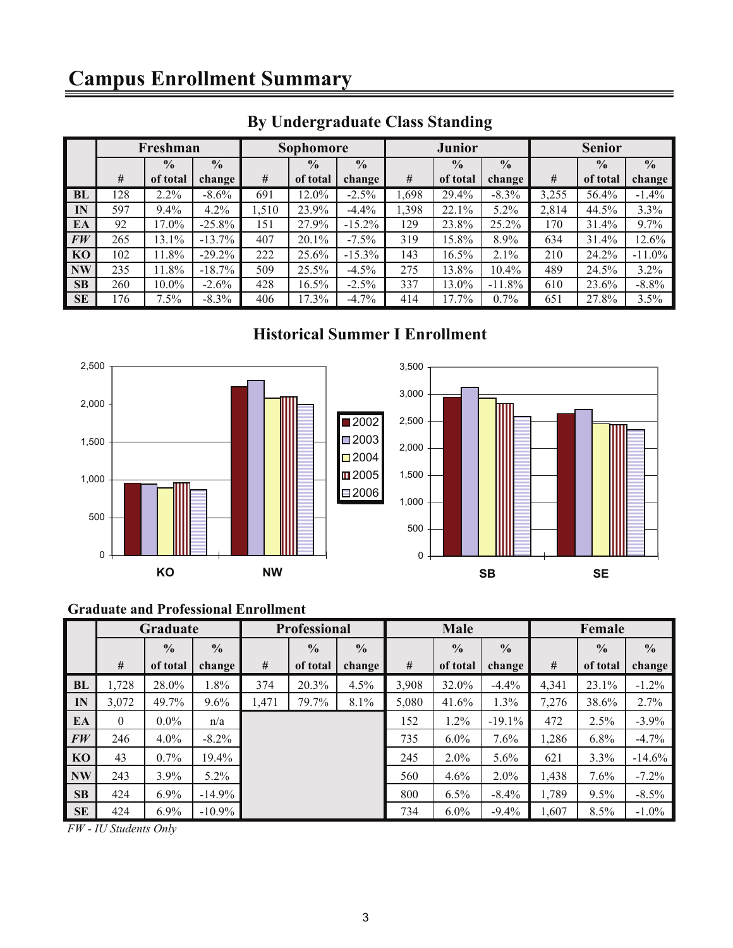## **Campus Enrollment Summary**

|                | Freshman |               | Sophomore     |       |               | <b>Junior</b> |       |               | <b>Senior</b> |       |               |               |
|----------------|----------|---------------|---------------|-------|---------------|---------------|-------|---------------|---------------|-------|---------------|---------------|
|                |          | $\frac{0}{0}$ | $\frac{0}{0}$ |       | $\frac{0}{0}$ | $\frac{0}{0}$ |       | $\frac{0}{0}$ | $\frac{0}{0}$ |       | $\frac{0}{0}$ | $\frac{0}{0}$ |
|                | #        | of total      | change        | #     | of total      | change        | #     | of total      | change        | #     | of total      | change        |
| BL             | 128      | $2.2\%$       | $-8.6\%$      | 691   | 12.0%         | $-2.5\%$      | 1,698 | 29.4%         | $-8.3%$       | 3,255 | 56.4%         | $-1.4\%$      |
| IN             | 597      | 9.4%          | 4.2%          | 1,510 | 23.9%         | $-4.4%$       | 1,398 | 22.1%         | 5.2%          | 2,814 | 44.5%         | 3.3%          |
| EA             | 92       | 17.0%         | $-25.8%$      | 151   | 27.9%         | $-15.2\%$     | 129   | 23.8%         | 25.2%         | 170   | 31.4%         | $9.7\%$       |
| FW             | 265      | 13.1%         | $-13.7%$      | 407   | $20.1\%$      | $-7.5%$       | 319   | 15.8%         | 8.9%          | 634   | 31.4%         | 12.6%         |
| K <sub>O</sub> | 102      | 11.8%         | $-29.2%$      | 222   | 25.6%         | $-15.3\%$     | 143   | 16.5%         | 2.1%          | 210   | 24.2%         | $-11.0%$      |
| <b>NW</b>      | 235      | 11.8%         | $-18.7%$      | 509   | 25.5%         | $-4.5\%$      | 275   | 13.8%         | 10.4%         | 489   | 24.5%         | 3.2%          |
| <b>SB</b>      | 260      | $10.0\%$      | $-2.6\%$      | 428   | 16.5%         | $-2.5%$       | 337   | 13.0%         | $-11.8%$      | 610   | 23.6%         | $-8.8%$       |
| <b>SE</b>      | 176      | 7.5%          | $-8.3\%$      | 406   | 17.3%         | $-4.7\%$      | 414   | 17.7%         | $0.7\%$       | 651   | 27.8%         | 3.5%          |

### **By Undergraduate Class Standing**

#### **Historical Summer I Enrollment**



#### **Graduate and Professional Enrollment**

|           | Graduate |               | <b>Professional</b> |       |               | Male          |       |               | Female        |       |               |               |
|-----------|----------|---------------|---------------------|-------|---------------|---------------|-------|---------------|---------------|-------|---------------|---------------|
|           |          | $\frac{0}{0}$ | $\frac{6}{6}$       |       | $\frac{0}{0}$ | $\frac{0}{0}$ |       | $\frac{0}{0}$ | $\frac{0}{0}$ |       | $\frac{0}{0}$ | $\frac{0}{0}$ |
|           | #        | of total      | change              | #     | of total      | change        | #     | of total      | change        | #     | of total      | change        |
| <b>BL</b> | 1,728    | 28.0%         | 1.8%                | 374   | 20.3%         | 4.5%          | 3,908 | 32.0%         | $-4.4%$       | 4,341 | 23.1%         | $-1.2\%$      |
| IN        | 3,072    | 49.7%         | $9.6\%$             | 1,471 | 79.7%         | 8.1%          | 5,080 | 41.6%         | 1.3%          | 7,276 | 38.6%         | 2.7%          |
| EA        | $\theta$ | $0.0\%$       | n/a                 |       |               |               | 152   | 1.2%          | $-19.1%$      | 472   | 2.5%          | $-3.9\%$      |
| FW        | 246      | $4.0\%$       | $-8.2\%$            |       |               |               | 735   | $6.0\%$       | 7.6%          | 1,286 | 6.8%          | $-4.7\%$      |
| <b>KO</b> | 43       | 0.7%          | 19.4%               |       |               |               | 245   | 2.0%          | 5.6%          | 621   | 3.3%          | $-14.6%$      |
| <b>NW</b> | 243      | 3.9%          | $5.2\%$             |       |               |               | 560   | 4.6%          | $2.0\%$       | 1,438 | $7.6\%$       | $-7.2\%$      |
| <b>SB</b> | 424      | 6.9%          | $-14.9%$            |       |               |               | 800   | 6.5%          | $-8.4\%$      | 1,789 | $9.5\%$       | $-8.5\%$      |
| <b>SE</b> | 424      | 6.9%          | $-10.9\%$           |       |               |               | 734   | $6.0\%$       | $-9.4%$       | 1,607 | $8.5\%$       | $-1.0\%$      |

*FW - IU Students Only*